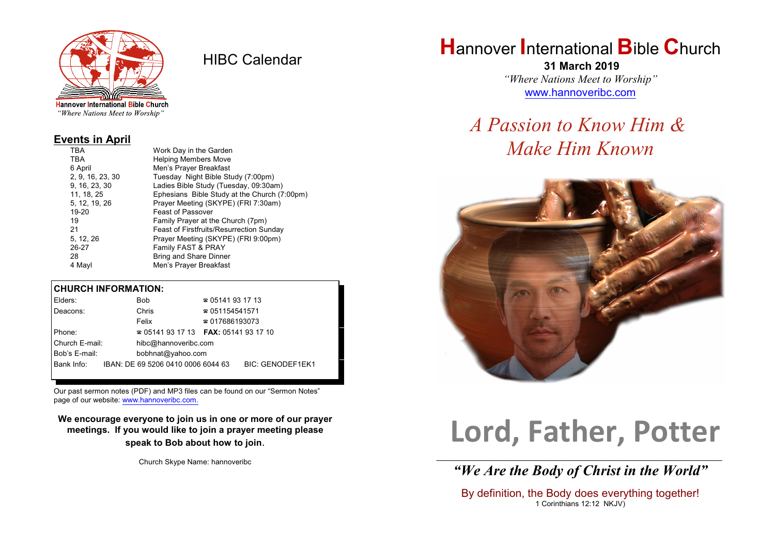

HIBC Calendar

**Hannover International Bible Church** "Where Nations Meet to Worship"

#### **Events in April**

| TBA              | Work Day in the Garden                          |  |  |  |
|------------------|-------------------------------------------------|--|--|--|
| <b>TBA</b>       | <b>Helping Members Move</b>                     |  |  |  |
| 6 April          | Men's Prayer Breakfast                          |  |  |  |
| 2, 9, 16, 23, 30 | Tuesday Night Bible Study (7:00pm)              |  |  |  |
| 9, 16, 23, 30    | Ladies Bible Study (Tuesday, 09:30am)           |  |  |  |
| 11, 18, 25       | Ephesians Bible Study at the Church (7:00pm)    |  |  |  |
| 5, 12, 19, 26    | Prayer Meeting (SKYPE) (FRI 7:30am)             |  |  |  |
| 19-20            | <b>Feast of Passover</b>                        |  |  |  |
| 19               | Family Prayer at the Church (7pm)               |  |  |  |
| 21               | <b>Feast of Firstfruits/Resurrection Sunday</b> |  |  |  |
| 5, 12, 26        | Prayer Meeting (SKYPE) (FRI 9:00pm)             |  |  |  |
| 26-27            | Family FAST & PRAY                              |  |  |  |
| 28               | <b>Bring and Share Dinner</b>                   |  |  |  |
| 4 Mayl           | Men's Prayer Breakfast                          |  |  |  |

### **CHURCH INFORMATION:**

| Elders:        | Bob                                           | $\approx 05141931713$  |                         |  |
|----------------|-----------------------------------------------|------------------------|-------------------------|--|
| Deacons:       | Chris                                         | $\approx 051154541571$ |                         |  |
|                | Felix                                         | $\approx 017686193073$ |                         |  |
| Phone:         | $\approx 05141931713$ FAX: 0514193 17 10      |                        |                         |  |
| Church E-mail: | hibc@hannoveribc.com                          |                        |                         |  |
| Bob's E-mail:  | bobhnat@yahoo.com                             |                        |                         |  |
|                | Bank Info: IBAN: DE 69 5206 0410 0006 6044 63 |                        | <b>BIC: GENODEF1EK1</b> |  |
|                |                                               |                        |                         |  |

Our past sermon notes (PDF) and MP3 files can be found on our "Sermon Notes" page of our website: [www.hannoveribc.com.](http://www.hannoveribc.com.)

**We encourage everyone to join us in one or more of our prayer meetings. If you would like to join a prayer meeting please speak to Bob about how to join**.

Church Skype Name: hannoveribc

# **H**annover **I**nternational **B**ible **C**hurch

 **31 March 2019** *"Where Nations Meet to Worship"* [www.hannoveribc.com](http://www.hannoveribc.com)

# *A Passion to Know Him & Make Him Known*



# **Lord, Father, Potter**

\_\_\_\_\_\_\_\_\_\_\_\_\_\_\_\_\_\_\_\_\_\_\_\_\_\_\_\_\_\_\_\_\_\_\_\_\_\_\_\_\_\_\_\_\_\_\_\_\_\_\_\_\_\_\_\_\_\_\_\_\_\_ *"We Are the Body of Christ in the World"*

By definition, the Body does everything together! 1 Corinthians 12:12 NKJV)